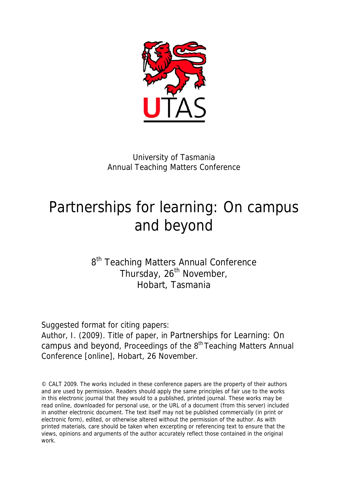

University of Tasmania Annual Teaching Matters Conference

# Partnerships for learning: On campus and beyond

8<sup>th</sup> Teaching Matters Annual Conference Thursday,  $26^{th}$  November, Hobart, Tasmania

Suggested format for citing papers:

Author, I. (2009). Title of paper, in Partnerships for Learning: On campus and beyond, Proceedings of the 8<sup>th</sup> Teaching Matters Annual Conference [online], Hobart, 26 November.

© CALT 2009. The works included in these conference papers are the property of their authors and are used by permission. Readers should apply the same principles of fair use to the works in this electronic journal that they would to a published, printed journal. These works may be read online, downloaded for personal use, or the URL of a document (from this server) included in another electronic document. The text itself may not be published commercially (in print or electronic form), edited, or otherwise altered without the permission of the author. As with printed materials, care should be taken when excerpting or referencing text to ensure that the views, opinions and arguments of the author accurately reflect those contained in the original work.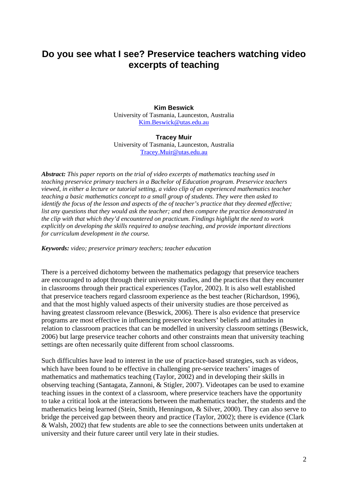## **Do you see what I see? Preservice teachers watching video excerpts of teaching**

#### **Kim Beswick**

University of Tasmania, Launceston, Australia Kim.Beswick@utas.edu.au

**Tracey Muir**  University of Tasmania, Launceston, Australia Tracey.Muir@utas.edu.au

*Abstract: This paper reports on the trial of video excerpts of mathematics teaching used in teaching preservice primary teachers in a Bachelor of Education program. Preservice teachers viewed, in either a lecture or tutorial setting, a video clip of an experienced mathematics teacher teaching a basic mathematics concept to a small group of students. They were then asked to identify the focus of the lesson and aspects of the of teacher's practice that they deemed effective; list any questions that they would ask the teacher; and then compare the practice demonstrated in the clip with that which they'd encountered on practicum. Findings highlight the need to work explicitly on developing the skills required to analyse teaching, and provide important directions for curriculum development in the course.* 

*Keywords: video; preservice primary teachers; teacher education* 

There is a perceived dichotomy between the mathematics pedagogy that preservice teachers are encouraged to adopt through their university studies, and the practices that they encounter in classrooms through their practical experiences (Taylor, 2002). It is also well established that preservice teachers regard classroom experience as the best teacher (Richardson, 1996), and that the most highly valued aspects of their university studies are those perceived as having greatest classroom relevance (Beswick, 2006). There is also evidence that preservice programs are most effective in influencing preservice teachers' beliefs and attitudes in relation to classroom practices that can be modelled in university classroom settings (Beswick, 2006) but large preservice teacher cohorts and other constraints mean that university teaching settings are often necessarily quite different from school classrooms.

Such difficulties have lead to interest in the use of practice-based strategies, such as videos, which have been found to be effective in challenging pre-service teachers' images of mathematics and mathematics teaching (Taylor, 2002) and in developing their skills in observing teaching (Santagata, Zannoni, & Stigler, 2007). Videotapes can be used to examine teaching issues in the context of a classroom, where preservice teachers have the opportunity to take a critical look at the interactions between the mathematics teacher, the students and the mathematics being learned (Stein, Smith, Henningson, & Silver, 2000). They can also serve to bridge the perceived gap between theory and practice (Taylor, 2002); there is evidence (Clark & Walsh, 2002) that few students are able to see the connections between units undertaken at university and their future career until very late in their studies.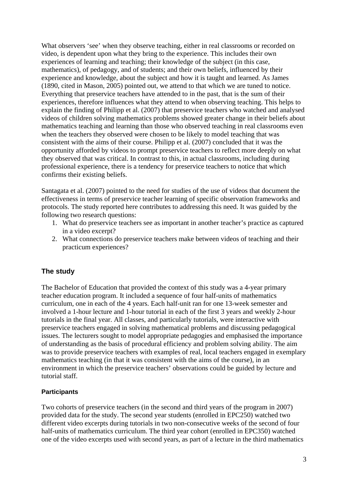What observers 'see' when they observe teaching, either in real classrooms or recorded on video, is dependent upon what they bring to the experience. This includes their own experiences of learning and teaching; their knowledge of the subject (in this case, mathematics), of pedagogy, and of students; and their own beliefs, influenced by their experience and knowledge, about the subject and how it is taught and learned. As James (1890, cited in Mason, 2005) pointed out, we attend to that which we are tuned to notice. Everything that preservice teachers have attended to in the past, that is the sum of their experiences, therefore influences what they attend to when observing teaching. This helps to explain the finding of Philipp et al. (2007) that preservice teachers who watched and analysed videos of children solving mathematics problems showed greater change in their beliefs about mathematics teaching and learning than those who observed teaching in real classrooms even when the teachers they observed were chosen to be likely to model teaching that was consistent with the aims of their course. Philipp et al. (2007) concluded that it was the opportunity afforded by videos to prompt preservice teachers to reflect more deeply on what they observed that was critical. In contrast to this, in actual classrooms, including during professional experience, there is a tendency for preservice teachers to notice that which confirms their existing beliefs.

Santagata et al. (2007) pointed to the need for studies of the use of videos that document the effectiveness in terms of preservice teacher learning of specific observation frameworks and protocols. The study reported here contributes to addressing this need. It was guided by the following two research questions:

- 1. What do preservice teachers see as important in another teacher's practice as captured in a video excerpt?
- 2. What connections do preservice teachers make between videos of teaching and their practicum experiences?

## **The study**

The Bachelor of Education that provided the context of this study was a 4-year primary teacher education program. It included a sequence of four half-units of mathematics curriculum, one in each of the 4 years. Each half-unit ran for one 13-week semester and involved a 1-hour lecture and 1-hour tutorial in each of the first 3 years and weekly 2-hour tutorials in the final year. All classes, and particularly tutorials, were interactive with preservice teachers engaged in solving mathematical problems and discussing pedagogical issues. The lecturers sought to model appropriate pedagogies and emphasised the importance of understanding as the basis of procedural efficiency and problem solving ability. The aim was to provide preservice teachers with examples of real, local teachers engaged in exemplary mathematics teaching (in that it was consistent with the aims of the course), in an environment in which the preservice teachers' observations could be guided by lecture and tutorial staff.

#### **Participants**

Two cohorts of preservice teachers (in the second and third years of the program in 2007) provided data for the study. The second year students (enrolled in EPC250) watched two different video excerpts during tutorials in two non-consecutive weeks of the second of four half-units of mathematics curriculum. The third year cohort (enrolled in EPC350) watched one of the video excerpts used with second years, as part of a lecture in the third mathematics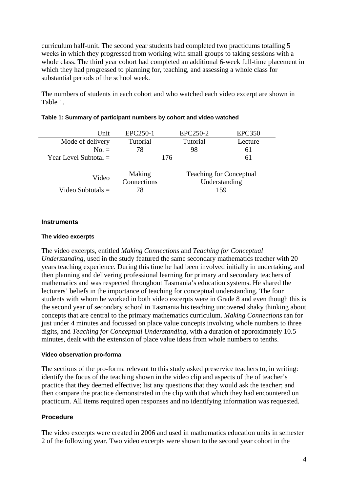curriculum half-unit. The second year students had completed two practicums totalling 5 weeks in which they progressed from working with small groups to taking sessions with a whole class. The third year cohort had completed an additional 6-week full-time placement in which they had progressed to planning for, teaching, and assessing a whole class for substantial periods of the school week.

The numbers of students in each cohort and who watched each video excerpt are shown in Table 1.

| Unit                    | EPC250-1    | EPC250-2                       | <b>EPC350</b> |
|-------------------------|-------------|--------------------------------|---------------|
| Mode of delivery        | Tutorial    | Tutorial                       | Lecture       |
| $No. =$                 | 78          | 98                             | 61            |
| Year Level Subtotal $=$ |             | 176                            | 61            |
|                         |             |                                |               |
| Video                   | Making      | <b>Teaching for Conceptual</b> |               |
|                         | Connections | Understanding                  |               |
| Video Subtotals $=$     | 78          | 159                            |               |

#### **Instruments**

#### **The video excerpts**

The video excerpts, entitled *Making Connections* and *Teaching for Conceptual Understanding*, used in the study featured the same secondary mathematics teacher with 20 years teaching experience. During this time he had been involved initially in undertaking, and then planning and delivering professional learning for primary and secondary teachers of mathematics and was respected throughout Tasmania's education systems. He shared the lecturers' beliefs in the importance of teaching for conceptual understanding. The four students with whom he worked in both video excerpts were in Grade 8 and even though this is the second year of secondary school in Tasmania his teaching uncovered shaky thinking about concepts that are central to the primary mathematics curriculum. *Making Connections* ran for just under 4 minutes and focussed on place value concepts involving whole numbers to three digits, and *Teaching for Conceptual Understanding*, with a duration of approximately 10.5 minutes, dealt with the extension of place value ideas from whole numbers to tenths.

#### **Video observation pro-forma**

The sections of the pro-forma relevant to this study asked preservice teachers to, in writing: identify the focus of the teaching shown in the video clip and aspects of the of teacher's practice that they deemed effective; list any questions that they would ask the teacher; and then compare the practice demonstrated in the clip with that which they had encountered on practicum. All items required open responses and no identifying information was requested.

### **Procedure**

The video excerpts were created in 2006 and used in mathematics education units in semester 2 of the following year. Two video excerpts were shown to the second year cohort in the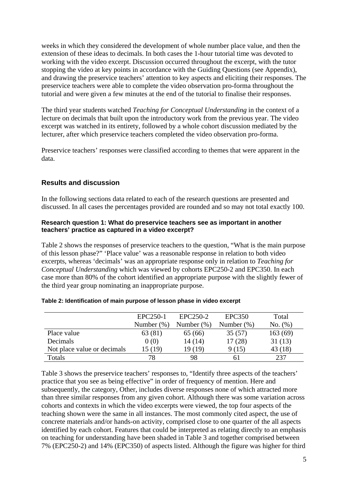weeks in which they considered the development of whole number place value, and then the extension of these ideas to decimals. In both cases the 1-hour tutorial time was devoted to working with the video excerpt. Discussion occurred throughout the excerpt, with the tutor stopping the video at key points in accordance with the Guiding Questions (see Appendix), and drawing the preservice teachers' attention to key aspects and eliciting their responses. The preservice teachers were able to complete the video observation pro-forma throughout the tutorial and were given a few minutes at the end of the tutorial to finalise their responses.

The third year students watched *Teaching for Conceptual Understanding* in the context of a lecture on decimals that built upon the introductory work from the previous year. The video excerpt was watched in its entirety, followed by a whole cohort discussion mediated by the lecturer, after which preservice teachers completed the video observation pro-forma.

Preservice teachers' responses were classified according to themes that were apparent in the data.

## **Results and discussion**

In the following sections data related to each of the research questions are presented and discussed. In all cases the percentages provided are rounded and so may not total exactly 100.

#### **Research question 1: What do preservice teachers see as important in another teachers' practice as captured in a video excerpt?**

Table 2 shows the responses of preservice teachers to the question, "What is the main purpose of this lesson phase?" 'Place value' was a reasonable response in relation to both video excerpts, whereas 'decimals' was an appropriate response only in relation to *Teaching for Conceptual Understanding* which was viewed by cohorts EPC250-2 and EPC350. In each case more than 80% of the cohort identified an appropriate purpose with the slightly fewer of the third year group nominating an inappropriate purpose.

|                             | EPC250-1       | EPC <sub>250-2</sub> | <b>EPC350</b> | Total   |
|-----------------------------|----------------|----------------------|---------------|---------|
|                             | Number $(\% )$ | Number $(\% )$       | Number $(\%)$ | No. (%) |
| Place value                 | 63 (81)        | 65 (66)              | 35(57)        | 163(69) |
| Decimals                    | 0(0)           | 14 (14)              | 17(28)        | 31(13)  |
| Not place value or decimals | 15(19)         | 19 (19)              | 9 (15)        | 43(18)  |
| Totals                      | 78             | 98                   | 6 I           | 237     |

#### **Table 2: Identification of main purpose of lesson phase in video excerpt**

Table 3 shows the preservice teachers' responses to, "Identify three aspects of the teachers' practice that you see as being effective" in order of frequency of mention. Here and subsequently, the category, Other, includes diverse responses none of which attracted more than three similar responses from any given cohort. Although there was some variation across cohorts and contexts in which the video excerpts were viewed, the top four aspects of the teaching shown were the same in all instances. The most commonly cited aspect, the use of concrete materials and/or hands-on activity, comprised close to one quarter of the all aspects identified by each cohort. Features that could be interpreted as relating directly to an emphasis on teaching for understanding have been shaded in Table 3 and together comprised between 7% (EPC250-2) and 14% (EPC350) of aspects listed. Although the figure was higher for third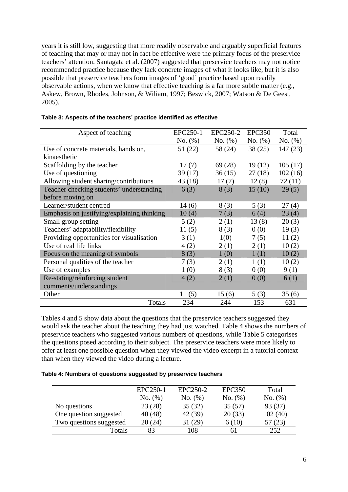years it is still low, suggesting that more readily observable and arguably superficial features of teaching that may or may not in fact be effective were the primary focus of the preservice teachers' attention. Santagata et al. (2007) suggested that preservice teachers may not notice recommended practice because they lack concrete images of what it looks like, but it is also possible that preservice teachers form images of 'good' practice based upon readily observable actions, when we know that effective teaching is a far more subtle matter (e.g., Askew, Brown, Rhodes, Johnson, & Wiliam, 1997; Beswick, 2007; Watson & De Geest, 2005).

| Aspect of teaching                         | EPC250-1 | EPC250-2 | <b>EPC350</b> | Total   |
|--------------------------------------------|----------|----------|---------------|---------|
|                                            | No. (%)  | No. (%)  | No. (%)       | No. (%) |
| Use of concrete materials, hands on,       | 51 (22)  | 58 (24)  | 38(25)        | 147(23) |
| kinaesthetic                               |          |          |               |         |
| Scaffolding by the teacher                 | 17(7)    | 69 (28)  | 19(12)        | 105(17) |
| Use of questioning                         | 39(17)   | 36(15)   | 27(18)        | 102(16) |
| Allowing student sharing/contributions     | 43(18)   | 17(7)    | 12(8)         | 72(11)  |
| Teacher checking students' understanding   | 6(3)     | 8(3)     | 15(10)        | 29(5)   |
| before moving on                           |          |          |               |         |
| Learner/student centred                    | 14(6)    | 8(3)     | 5(3)          | 27(4)   |
| Emphasis on justifying/explaining thinking | 10(4)    | 7(3)     | 6(4)          | 23(4)   |
| Small group setting                        | 5(2)     | 2(1)     | 13(8)         | 20(3)   |
| Teachers' adaptability/flexibility         | 11(5)    | 8(3)     | 0(0)          | 19(3)   |
| Providing opportunities for visualisation  | 3(1)     | 1(0)     | 7(5)          | 11(2)   |
| Use of real life links                     | 4(2)     | 2(1)     | 2(1)          | 10(2)   |
| Focus on the meaning of symbols            | 8(3)     | 1(0)     | 1(1)          | 10(2)   |
| Personal qualities of the teacher          | 7(3)     | 2(1)     | 1(1)          | 10(2)   |
| Use of examples                            | 1(0)     | 8(3)     | 0(0)          | 9(1)    |
| Re-stating/reinforcing student             | 4(2)     | 2(1)     | 0(0)          | 6(1)    |
| comments/understandings                    |          |          |               |         |
| Other                                      | 11(5)    | 15(6)    | 5(3)          | 35(6)   |
| Totals                                     | 234      | 244      | 153           | 631     |

|  | Table 3: Aspects of the teachers' practice identified as effective |  |
|--|--------------------------------------------------------------------|--|
|  |                                                                    |  |

Tables 4 and 5 show data about the questions that the preservice teachers suggested they would ask the teacher about the teaching they had just watched. Table 4 shows the numbers of preservice teachers who suggested various numbers of questions, while Table 5 categorises the questions posed according to their subject. The preservice teachers were more likely to offer at least one possible question when they viewed the video excerpt in a tutorial context than when they viewed the video during a lecture.

#### **Table 4: Numbers of questions suggested by preservice teachers**

|                         | EPC250-1 | EPC250-2 | <b>EPC350</b> | Total   |
|-------------------------|----------|----------|---------------|---------|
|                         | No. (%)  | No. (%)  | No. (%)       | No. (%) |
| No questions            | 23(28)   | 35(32)   | 35(57)        | 93 (37) |
| One question suggested  | 40(48)   | 42 (39)  | 20(33)        | 102(40) |
| Two questions suggested | 20(24)   | 31 (29)  | 6(10)         | (23)    |
| Totals                  | 83       | 108      | 61            | 252     |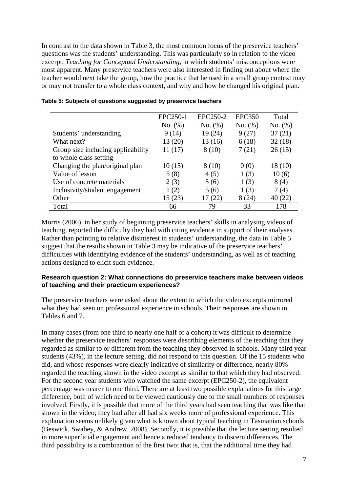In contrast to the data shown in Table 3, the most common focus of the preservice teachers' questions was the students' understanding. This was particularly so in relation to the video excerpt, *Teaching for Conceptual Understanding*, in which students' misconceptions were most apparent. Many preservice teachers were also interested in finding out about where the teacher would next take the group, how the practice that he used in a small group context may or may not transfer to a whole class context, and why and how he changed his original plan.

|                                    | EPC250-1 | EPC250-2 | <b>EPC350</b> | Total   |
|------------------------------------|----------|----------|---------------|---------|
|                                    | No. (%)  | No. (%)  | No. (%)       | No. (%) |
| Students' understanding            | 9(14)    | 19 (24)  | 9(27)         | 37(21)  |
| What next?                         | 13 (20)  | 13(16)   | 6(18)         | 32(18)  |
| Group size including applicability | 11(17)   | 8 (10)   | 7(21)         | 26(15)  |
| to whole class setting             |          |          |               |         |
| Changing the plan/original plan    | 10(15)   | 8(10)    | 0(0)          | 18 (10) |
| Value of lesson                    | 5(8)     | 4(5)     | 1(3)          | 10(6)   |
| Use of concrete materials          | 2(3)     | 5(6)     | 1(3)          | 8(4)    |
| Inclusivity/student engagement     | 1(2)     | 5(6)     | 1(3)          | 7(4)    |
| Other                              | 15(23)   | 17(22)   | 8(24)         | 40(22)  |
| Total                              | 66       | 79       | 33            | 178     |

#### **Table 5: Subjects of questions suggested by preservice teachers**

Morris (2006), in her study of beginning preservice teachers' skills in analysing videos of teaching, reported the difficulty they had with citing evidence in support of their analyses. Rather than pointing to relative disinterest in students' understanding, the data in Table 5 suggest that the results shown in Table 3 may be indicative of the preservice teachers' difficulties with identifying evidence of the students' understanding, as well as of teaching actions designed to elicit such evidence.

#### **Research question 2: What connections do preservice teachers make between videos of teaching and their practicum experiences?**

The preservice teachers were asked about the extent to which the video excerpts mirrored what they had seen on professional experience in schools. Their responses are shown in Tables 6 and 7.

In many cases (from one third to nearly one half of a cohort) it was difficult to determine whether the preservice teachers' responses were describing elements of the teaching that they regarded as similar to or different from the teaching they observed in schools. Many third year students (43%), in the lecture setting, did not respond to this question. Of the 15 students who did, and whose responses were clearly indicative of similarity or difference, nearly 80% regarded the teaching shown in the video excerpt as similar to that which they had observed. For the second year students who watched the same excerpt (EPC250-2), the equivalent percentage was nearer to one third. There are at least two possible explanations for this large difference, both of which need to be viewed cautiously due to the small numbers of responses involved. Firstly, it is possible that more of the third years had seen teaching that was like that shown in the video; they had after all had six weeks more of professional experience. This explanation seems unlikely given what is known about typical teaching in Tasmanian schools (Beswick, Swabey, & Andrew, 2008). Secondly, it is possible that the lecture setting resulted in more superficial engagement and hence a reduced tendency to discern differences. The third possibility is a combination of the first two; that is, that the additional time they had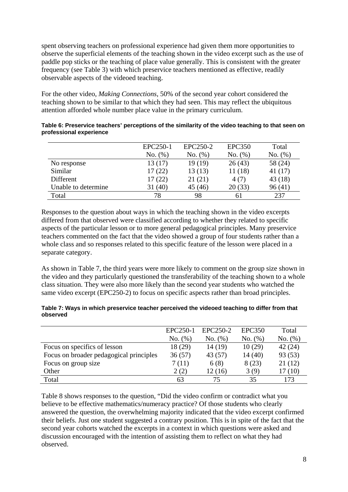spent observing teachers on professional experience had given them more opportunities to observe the superficial elements of the teaching shown in the video excerpt such as the use of paddle pop sticks or the teaching of place value generally. This is consistent with the greater frequency (see Table 3) with which preservice teachers mentioned as effective, readily observable aspects of the videoed teaching.

For the other video, *Making Connections*, 50% of the second year cohort considered the teaching shown to be similar to that which they had seen. This may reflect the ubiquitous attention afforded whole number place value in the primary curriculum.

|                         | Table 6: Preservice teachers' perceptions of the similarity of the video teaching to that seen on |
|-------------------------|---------------------------------------------------------------------------------------------------|
| professional experience |                                                                                                   |

|                     | EPC250-1   | EPC250-2 | <b>EPC350</b> | Total   |
|---------------------|------------|----------|---------------|---------|
|                     | No. (%)    | No. (%)  | No. (%)       | No. (%) |
| No response         | 13(17)     | 19(19)   | 26(43)        | 58 (24) |
| Similar             | 17(22)     | 13(13)   | 11(18)        | 41(17)  |
| Different           | 17(22)     | 21(21)   | 4(7)          | 43(18)  |
| Unable to determine | (40)<br>31 | 45 (46)  | 20(33)        | 96(41)  |
| Total               | 78         | 98       | 6 I           | 237     |

Responses to the question about ways in which the teaching shown in the video excerpts differed from that observed were classified according to whether they related to specific aspects of the particular lesson or to more general pedagogical principles. Many preservice teachers commented on the fact that the video showed a group of four students rather than a whole class and so responses related to this specific feature of the lesson were placed in a separate category.

As shown in Table 7, the third years were more likely to comment on the group size shown in the video and they particularly questioned the transferability of the teaching shown to a whole class situation. They were also more likely than the second year students who watched the same video excerpt (EPC250-2) to focus on specific aspects rather than broad principles.

#### **Table 7: Ways in which preservice teacher perceived the videoed teaching to differ from that observed**

|                                         | EPC250-1 | EPC250-2 | <b>EPC350</b> | Total   |
|-----------------------------------------|----------|----------|---------------|---------|
|                                         | No. (%)  | No. (%)  | No. (%)       | No. (%) |
| Focus on specifics of lesson            | 18 (29)  | 14(19)   | 10(29)        | 42(24)  |
| Focus on broader pedagogical principles | 36(57)   | 43 (57)  | 14(40)        | 93 (53) |
| Focus on group size                     | 7(11)    | 6(8)     | 8(23)         | 21(12)  |
| Other                                   | 2(2)     | 12(16)   | 3(9)          | 17(10)  |
| Total                                   | 63       | 75       | 35            | 173     |

Table 8 shows responses to the question, "Did the video confirm or contradict what you believe to be effective mathematics/numeracy practice? Of those students who clearly answered the question, the overwhelming majority indicated that the video excerpt confirmed their beliefs. Just one student suggested a contrary position. This is in spite of the fact that the second year cohorts watched the excerpts in a context in which questions were asked and discussion encouraged with the intention of assisting them to reflect on what they had observed.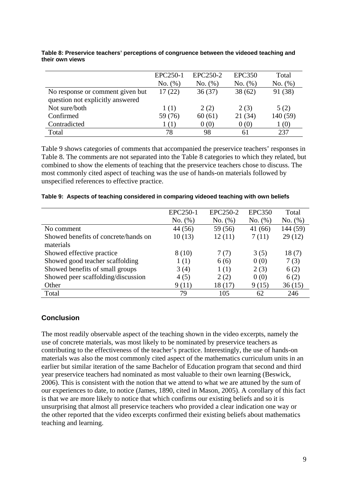|                                                                      | EPC250-1<br>No. (%) | EPC250-2<br>No. (%) | <b>EPC350</b><br>No. $(\% )$ | Total<br>No. (%) |
|----------------------------------------------------------------------|---------------------|---------------------|------------------------------|------------------|
| No response or comment given but<br>question not explicitly answered | 17(22)              | 36(37)              | 38(62)                       | 91 (38)          |
| Not sure/both                                                        | 1(1)                | 2(2)                | 2(3)                         | 5(2)             |
| Confirmed                                                            | 59 (76)             | 60(61)              | 21(34)                       | 140 (59)         |
| Contradicted                                                         |                     | 0(0)                | 0(0)                         | $\perp(0)$       |
| Total                                                                | 78                  | 98                  | 61                           | 237              |

**Table 8: Preservice teachers' perceptions of congruence between the videoed teaching and their own views**

Table 9 shows categories of comments that accompanied the preservice teachers' responses in Table 8. The comments are not separated into the Table 8 categories to which they related, but combined to show the elements of teaching that the preservice teachers chose to discuss. The most commonly cited aspect of teaching was the use of hands-on materials followed by unspecified references to effective practice.

|                                                   | EPC250-1 | EPC250-2 | <b>EPC350</b> | Total    |
|---------------------------------------------------|----------|----------|---------------|----------|
|                                                   | No. (%)  | No. (%)  | No. (%)       | No. (%)  |
| No comment                                        | 44 (56)  | 59 (56)  | 41 (66)       | 144 (59) |
| Showed benefits of concrete/hands on<br>materials | 10(13)   | 12(11)   | 7(11)         | 29(12)   |
| Showed effective practice                         | 8 (10)   | 7(7)     | 3(5)          | 18(7)    |
| Showed good teacher scaffolding                   | 1(1)     | 6(6)     | 0(0)          | 7(3)     |
| Showed benefits of small groups                   | 3(4)     | 1(1)     | 2(3)          | 6(2)     |
| Showed peer scaffolding/discussion                | 4(5)     | 2(2)     | 0(0)          | 6(2)     |
| Other                                             | 9(11)    | 18(17)   | 9(15)         | 36(15)   |
| Total                                             | 79       | 105      | 62            | 246      |

| Table 9: Aspects of teaching considered in comparing videoed teaching with own beliefs |  |  |
|----------------------------------------------------------------------------------------|--|--|
|                                                                                        |  |  |

## **Conclusion**

The most readily observable aspect of the teaching shown in the video excerpts, namely the use of concrete materials, was most likely to be nominated by preservice teachers as contributing to the effectiveness of the teacher's practice. Interestingly, the use of hands-on materials was also the most commonly cited aspect of the mathematics curriculum units in an earlier but similar iteration of the same Bachelor of Education program that second and third year preservice teachers had nominated as most valuable to their own learning (Beswick, 2006). This is consistent with the notion that we attend to what we are attuned by the sum of our experiences to date, to notice (James, 1890, cited in Mason, 2005). A corollary of this fact is that we are more likely to notice that which confirms our existing beliefs and so it is unsurprising that almost all preservice teachers who provided a clear indication one way or the other reported that the video excerpts confirmed their existing beliefs about mathematics teaching and learning.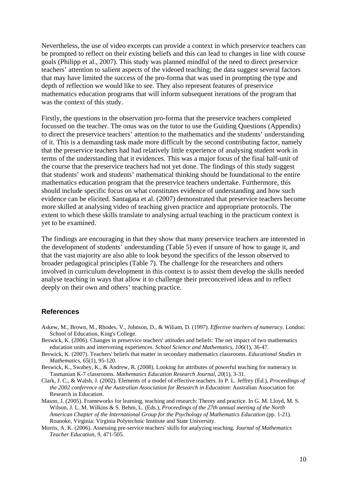Nevertheless, the use of video excerpts can provide a context in which preservice teachers can be prompted to reflect on their existing beliefs and this can lead to changes in line with course goals (Philipp et al., 2007). This study was planned mindful of the need to direct preservice teachers' attention to salient aspects of the videoed teaching; the data suggest several factors that may have limited the success of the pro-forma that was used in prompting the type and depth of reflection we would like to see. They also represent features of preservice mathematics education programs that will inform subsequent iterations of the program that was the context of this study.

Firstly, the questions in the observation pro-forma that the preservice teachers completed focussed on the teacher. The onus was on the tutor to use the Guiding Questions (Appendix) to direct the preservice teachers' attention to the mathematics and the students' understanding of it. This is a demanding task made more difficult by the second contributing factor, namely that the preservice teachers had had relatively little experience of analysing student work in terms of the understanding that it evidences. This was a major focus of the final half-unit of the course that the preservice teachers had not yet done. The findings of this study suggest that students' work and students' mathematical thinking should be foundational to the entire mathematics education program that the preservice teachers undertake. Furthermore, this should include specific focus on what constitutes evidence of understanding and how such evidence can be elicited. Santagata et al. (2007) demonstrated that preservice teachers become more skilled at analysing video of teaching given practice and appropriate protocols. The extent to which these skills translate to analysing actual teaching in the practicum context is yet to be examined.

The findings are encouraging in that they show that many preservice teachers are interested in the development of students' understanding (Table 5) even if unsure of how to gauge it, and that the vast majority are also able to look beyond the specifics of the lesson observed to broader pedagogical principles (Table 7). The challenge for the researchers and others involved in curriculum development in this context is to assist them develop the skills needed analyse teaching in ways that allow it to challenge their preconceived ideas and to reflect deeply on their own and others' teaching practice.

#### **References**

- Askew, M., Brown, M., Rhodes, V., Johnson, D., & Wiliam, D. (1997). *Effective teachers of numeracy*. London: School of Education, King's College.
- Beswick, K. (2006). Changes in preservice teachers' attitudes and beliefs: The net impact of two mathematics education units and intervening experiences. *School Science and Mathematics, 106*(1), 36-47.
- Beswick, K. (2007). Teachers' beliefs that matter in secondary mathematics classrooms. *Educational Studies in Mathematics, 65*(1), 95-120.
- Beswick, K., Swabey, K., & Andrew, R. (2008). Looking for attributes of powerful teaching for numeracy in Tasmanian K-7 classrooms. *Mathematics Education Research Journal, 20*(1), 3-31.
- Clark, J. C., & Walsh, J. (2002). Elements of a model of effective teachers. In P. L. Jeffrey (Ed.), *Proceedings of the 2002 conference of the Australian Association for Research in Education*: Australian Association for Research in Education.
- Mason, J. (2005). Frameworks for learning, teaching and research: Theory and practice. In G. M. Lloyd, M. S. Wilson, J. L. M. Wilkins & S. Behm, L. (Eds.), *Proceedings of the 27th annual meeting of the North American Chapter of the International Group for the Psychology of Mathematics Education* (pp. 1-21). Roanoke, Virginia: Virginia Polytechnic Institute and State University.
- Morris, A. K. (2006). Assessing pre-service teachers' skills for analyzing teaching. *Journal of Mathematics Teacher Education, 9*, 471-505.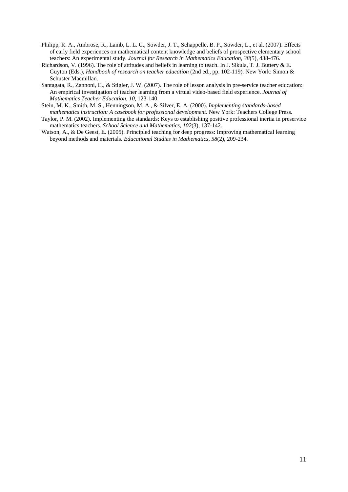- Philipp, R. A., Ambrose, R., Lamb, L. L. C., Sowder, J. T., Schappelle, B. P., Sowder, L., et al. (2007). Effects of early field experiences on mathematical content knowledge and beliefs of prospective elementary school teachers: An experimental study. *Journal for Research in Mathematics Education, 38*(5), 438-476.
- Richardson, V. (1996). The role of attitudes and beliefs in learning to teach. In J. Sikula, T. J. Buttery & E. Guyton (Eds.), *Handbook of research on teacher education* (2nd ed., pp. 102-119). New York: Simon & Schuster Macmillan.
- Santagata, R., Zannoni, C., & Stigler, J. W. (2007). The role of lesson analysis in pre-service teacher education: An empirical investigation of teacher learning from a virtual video-based field experience. *Journal of Mathematics Teacher Education, 10*, 123-140.
- Stein, M. K., Smith, M. S., Henningson, M. A., & Silver, E. A. (2000). *Implementing standards-based mathematics instruction: A casebook for professional development*. New York: Teachers College Press.
- Taylor, P. M. (2002). Implementing the standards: Keys to establishing positive professional inertia in preservice mathematics teachers. *School Science and Mathematics, 102*(3), 137-142.
- Watson, A., & De Geest, E. (2005). Principled teaching for deep progress: Improving mathematical learning beyond methods and materials. *Educational Studies in Mathematics, 58*(2), 209-234.